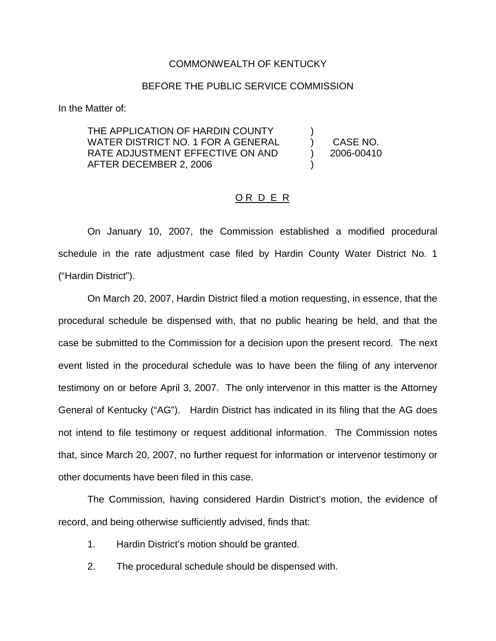## COMMONWEALTH OF KENTUCKY

## BEFORE THE PUBLIC SERVICE COMMISSION

In the Matter of:

THE APPLICATION OF HARDIN COUNTY WATER DISTRICT NO. 1 FOR A GENERAL RATE ADJUSTMENT EFFECTIVE ON AND AFTER DECEMBER 2, 2006

) CASE NO. ) 2006-00410

)

)

## ORDER

On January 10, 2007, the Commission established a modified procedural schedule in the rate adjustment case filed by Hardin County Water District No. 1 ("Hardin District").

On March 20, 2007, Hardin District filed a motion requesting, in essence, that the procedural schedule be dispensed with, that no public hearing be held, and that the case be submitted to the Commission for a decision upon the present record. The next event listed in the procedural schedule was to have been the filing of any intervenor testimony on or before April 3, 2007. The only intervenor in this matter is the Attorney General of Kentucky ("AG"). Hardin District has indicated in its filing that the AG does not intend to file testimony or request additional information. The Commission notes that, since March 20, 2007, no further request for information or intervenor testimony or other documents have been filed in this case.

The Commission, having considered Hardin District's motion, the evidence of record, and being otherwise sufficiently advised, finds that:

- 1. Hardin District's motion should be granted.
- 2. The procedural schedule should be dispensed with.